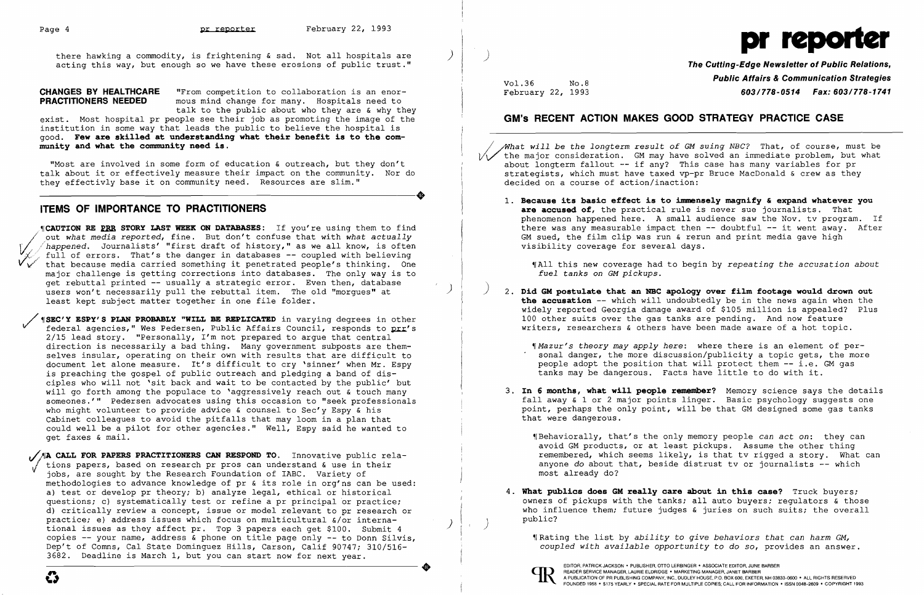pr teporter and the section of the section of the set of the set of the set of the set of there hawking a commodity, is frightening & sad. Not all hospitals are  $\left( \begin{array}{c} \begin{array}{c} \begin{array}{c} \end{array} \end{array} \right) \end{array}$ there hawking a commodity, is frightening & sad. Not all hospitals are  $\qquad$   $\qquad$   $\qquad$   $\qquad$   $\qquad$   $\qquad$  The Cutting-Edge Newsletter of Public Relations,

**CHANGES BY HEALTHCARE** "From competition to collaboration is an enor-<br>**PRACTITIONERS NEEDED** mous mind change for many. Hospitals need to mous mind change for many. Hospitals need to talk to the public about who they are & why they

exist. Most hospital pr people see their job as promoting the image of the institution in some way that leads the public to believe the hospital is good. **Few are skil.l.ed at understanding what their benefit is to the community and what the community need is.** 

"Most are involved in some form of education & outreach, but they don't where the involved in some form of education  $\alpha$  outleach, but they don't<br>talk about it or effectively measure their impact on the community. Nor do<br>they effectively base it on community need. Resources are slim." they effectivly base it on community need. Resources are slim."

### **ITEMS OF IMPORTANCE TO PRACTITIONERS**

.~ICAUTION RE **fBB STORY LAST WEEK ON DATABASES:** If you're using them to find happened. Journalists' "first draft of history," as we all know, is often full of errors. That's the danger in databases -- coupled with believing that because media carried something it penetrated people's thinking. One major challenge is getting corrections into databases. The only way is to get rebuttal printed -- usually a strategic error. Even then, database users won't necessarily pull the rebuttal item. The old "morques" at least kept subject matter together in one file folder.

*ISEC'Y ESPY'S PLAN PROBABLY "WILL BE REPLICATED* **in varying degrees in other** federal agencies," Wes Pedersen, Public Affairs Council, responds to prr's 2/15 lead story. "Personally, I'm not prepared to argue that central Ï direction is necessarily a bad thing. Many government subposts are them selves insular, operating on their own with results that are difficult to document let alone measure. It's difficult to cry 'sinner' when Mr. Espy is preaching the gospel of public outreach and pledging a band of dis ciples who will not 'sit back and wait to be contacted by the public' but will go forth among the populace to 'aggressively reach out & touch many someones.'" Pedersen advocates using this occasion to "seek professionals who might volunteer to provide advice & counsel to Sec'y Espy & his Cabinet colleagues to avoid the pitfalls that may loom in a plan that could well be a pilot for other agencies." Well, Espy said he wanted to get faxes & mail.

<sup>1</sup>A CALL FOR PAPERS PRACTITIONERS CAN RESPOND TO. Innovative public rela- Unions papers, based on research pr pros can understand & use in their jobs, are sought by the Research Foundation of IABC. Variety of methodologies to advance knowledge of pr & its role in org'ns can be used: a) test or develop pr theory; b) analyze legal, ethical or historical questions; c) systematically test or refine a pr principal or practice; d) critically review a concept, issue or model relevant to pr research or practice; e) address issues which focus on multicultural  $\zeta$  or international issues as they affect pr. Top 3 papers each get \$100. Submit  $4$ copies -- your name, address & phone on title page only -- to Donn Silvis, Dep't of Comns, Cal State Dominguez Hills, Carson, Calif 90747; 310/516 3682. Deadline is March 1, but you can start now for next year. Opies --- your name, address & phone on title page only --- to Donn Silvis,<br>
Dep't of Comns, Cal State Dominguez Hills, Carson, Calif 90747; 310/516-<br>
3682. Deadline is March 1, but you can start now for next year.<br>
<br>
<br>
<br>

## **Public Affairs & Communication Strategies**<br>February 22, 1993 **Public Affairs & Communication Strategies**<br>**603/778-0514 Pax: 603/778-1741** February 22, 1993 **603/778-0514 Fax: 603/778-1741**

**are accused of,** the practical rule is never sue journalists. That phenomenon happened here. A small audience saw the Nov. tv program. If there was any measurable impact then  $--$  doubtful  $--$  it went away. After

- about longterm fallout  $-$  if any? This case has many variables for pr decided on a course of action/inaction:
	- 1. Because its basic effect is to immensely magnify & expand whatever you GM sued, the film clip was run & rerun and print media gave high visibility coverage for several days.

2. Did GM postulate that an NBC apology over film footage would drown out **the accusation** -- which will undoubtedly be in the news again when the widely reported Georgia damage award of \$105 million is appealed? Plus writers, researchers & others have been made aware of a hot topic.

3. In 6 months, what will people remember? Memory science says the details fall away & 1 or 2 major points linger. Basic psychology suggests one point, perhaps the only point, will be that GM designed some gas tanks

~rBehaviorally, that's the only memory people *can act on:* they can avoid GM products, or at least pickups. Assume the other thing remembered, which seems likely, is that tv rigged a story. What can anyone do about that, beside distrust tv or journalists  $\overline{-}$  which

4. What publics does GM really care about in this case? Truck buyers; owners of pickups with the tanks; all auto buyers; regulators & those who influence them; future judges & juries on such suits; the overall



### **GM's RECENT ACTION MAKES GOOD STRATEGY PRACTICE CASE**

~what *will be the longterm result of* GM *suing NBC?* That, of course, must be the major consideration. GM may have solved an immediate problem, but what strategists, which must have taxed vp-pr Bruce MacDonald & crew as they

~IAll this new coverage had to begin by *repeating the accusation about fuel tanks on* GM *pickups.* 

~IMazur's *theory may apply here:* where there is an element of personal danger, the more discussion/publicity a topic gets, the more people adopt the position that will protect them -- i.e. GM gas

- 100 other suits over the gas tanks are pending. And now feature
	- tanks may be dangerous. Facts have little to do with it.
- that were dangerous.
	- most already do?
- public? )

~rRating the list by *ability* to *give behaviors that can harm GM, coupled with available opportunity* to do *so,* provides an answer.